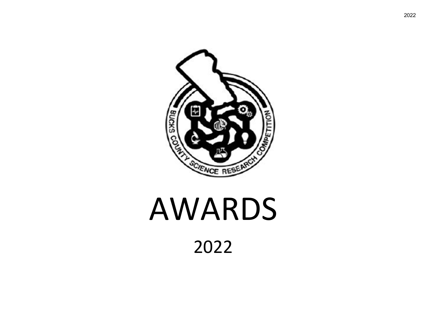

#### AWARDS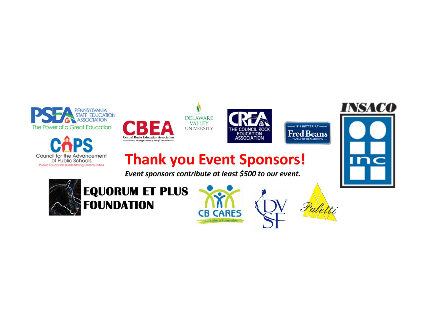









#### **Thank you Event Sponsors!**

Event sponsors contribute at least \$500 to our event.







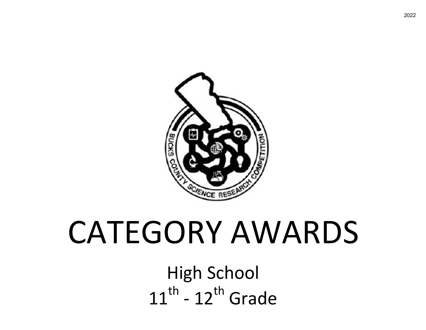

# CATEGORY AWARDS

High School  $11^{th}$  -  $12^{th}$  Grade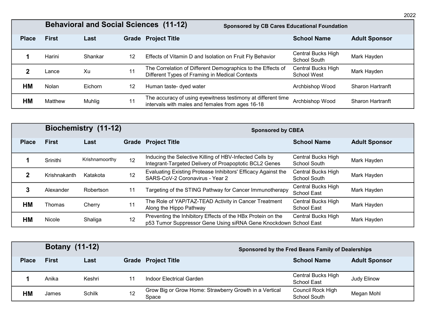|              |              |         |                   | <b>Behavioral and Social Sciences (11-12)</b>                                                                    | <b>Sponsored by CB Cares Educational Foundation</b> |                         |  |
|--------------|--------------|---------|-------------------|------------------------------------------------------------------------------------------------------------------|-----------------------------------------------------|-------------------------|--|
| <b>Place</b> | <b>First</b> | Last    |                   | <b>Grade Project Title</b>                                                                                       | <b>School Name</b>                                  | <b>Adult Sponsor</b>    |  |
|              | Harini       | Shankar | 12                | Effects of Vitamin D and Isolation on Fruit Fly Behavior                                                         | Central Bucks High<br><b>School South</b>           | Mark Hayden             |  |
|              | Lance        | Xu      | 11                | The Correlation of Different Demographics to the Effects of<br>Different Types of Framing in Medical Contexts    | Central Bucks High<br>School West                   | Mark Hayden             |  |
| НM           | Nolan        | Eichorn | $12 \overline{ }$ | Human taste- dyed water                                                                                          | Archbishop Wood                                     | <b>Sharon Hartranft</b> |  |
| НM           | Matthew      | Muhlig  | 11                | The accuracy of using eyewitness testimony at different time<br>intervals with males and females from ages 16-18 | Archbishop Wood                                     | <b>Sharon Hartranft</b> |  |

|              | Biochemistry (11-12) |                |    | <b>Sponsored by CBEA</b>                                                                                                        |                                          |                      |  |  |
|--------------|----------------------|----------------|----|---------------------------------------------------------------------------------------------------------------------------------|------------------------------------------|----------------------|--|--|
| <b>Place</b> | <b>First</b>         | Last           |    | <b>Grade Project Title</b>                                                                                                      | <b>School Name</b>                       | <b>Adult Sponsor</b> |  |  |
|              | Srinithi             | Krishnamoorthy | 12 | Inducing the Selective Killing of HBV-Infected Cells by<br>Integrant-Targeted Delivery of Proapoptotic BCL2 Genes               | Central Bucks High<br>School South       | Mark Hayden          |  |  |
|              | Krishnakanth         | Katakota       | 12 | Evaluating Existing Protease Inhibitors' Efficacy Against the<br>SARS-CoV-2 Coronavirus - Year 2                                | Central Bucks High<br>School South       | Mark Hayden          |  |  |
|              | Alexander            | Robertson      | 11 | Targeting of the STING Pathway for Cancer Immunotherapy                                                                         | Central Bucks High<br><b>School East</b> | Mark Hayden          |  |  |
| HМ           | Thomas               | Cherry         | 11 | The Role of YAP/TAZ-TEAD Activity in Cancer Treatment<br>Along the Hippo Pathway                                                | Central Bucks High<br>School East        | Mark Hayden          |  |  |
| HМ           | Nicole               | Shaliga        | 12 | Preventing the Inhibitory Effects of the HBx Protein on the<br>p53 Tumor Suppressor Gene Using siRNA Gene Knockdown School East | Central Bucks High                       | Mark Hayden          |  |  |

|              | <b>Botany (11-12)</b> |        |    | Sponsored by the Fred Beans Family of Dealerships               |                                   |                      |
|--------------|-----------------------|--------|----|-----------------------------------------------------------------|-----------------------------------|----------------------|
| <b>Place</b> | <b>First</b>          | Last   |    | <b>Grade Project Title</b>                                      | <b>School Name</b>                | <b>Adult Sponsor</b> |
|              | Anika                 | Keshri | 11 | Indoor Electrical Garden                                        | Central Bucks High<br>School East | Judy Elinow          |
| НM           | James                 | Schilk | 12 | Grow Big or Grow Home: Strawberry Growth in a Vertical<br>Space | Council Rock High<br>School South | Megan Mohl           |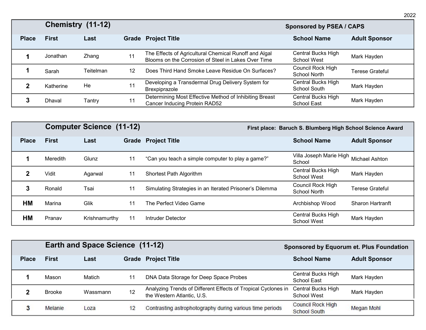|              | Chemistry (11-12) |           |    |                                                                                                              | <b>Sponsored by PSEA / CAPS</b>           |                      |  |
|--------------|-------------------|-----------|----|--------------------------------------------------------------------------------------------------------------|-------------------------------------------|----------------------|--|
| <b>Place</b> | <b>First</b>      | Last      |    | <b>Grade Project Title</b>                                                                                   | <b>School Name</b>                        | <b>Adult Sponsor</b> |  |
|              | Jonathan          | Zhang     | 11 | The Effects of Agricultural Chemical Runoff and Algal<br>Blooms on the Corrosion of Steel in Lakes Over Time | Central Bucks High<br>School West         | Mark Hayden          |  |
|              | Sarah             | Teitelman | 12 | Does Third Hand Smoke Leave Residue On Surfaces?                                                             | Council Rock High<br><b>School North</b>  | Terese Grateful      |  |
|              | Katherine         | He        | 11 | Developing a Transdermal Drug Delivery System for<br>Brexpiprazole                                           | Central Bucks High<br><b>School South</b> | Mark Hayden          |  |
|              | Dhaval            | Tantry    | 11 | Determining Most Effective Method of Inhibiting Breast<br>Cancer Inducing Protein RAD52                      | Central Bucks High<br><b>School East</b>  | Mark Hayden          |  |

|              | <b>Computer Science (11-12)</b> |               |    | First place: Baruch S. Blumberg High School Science Award |                                          |                         |  |
|--------------|---------------------------------|---------------|----|-----------------------------------------------------------|------------------------------------------|-------------------------|--|
| <b>Place</b> | <b>First</b>                    | Last          |    | <b>Grade Project Title</b>                                | <b>School Name</b>                       | <b>Adult Sponsor</b>    |  |
|              | Meredith                        | Glunz         | 11 | "Can you teach a simple computer to play a game?"         | Villa Joseph Marie High<br>School        | Michael Ashton          |  |
|              | Vidit                           | Agarwal       | 11 | Shortest Path Algorithm                                   | Central Bucks High<br>School West        | Mark Hayden             |  |
| 3            | Ronald                          | Tsai          | 11 | Simulating Strategies in an Iterated Prisoner's Dilemma   | Council Rock High<br>School North        | <b>Terese Grateful</b>  |  |
| <b>HM</b>    | Marina                          | Glik          | 11 | The Perfect Video Game                                    | Archbishop Wood                          | <b>Sharon Hartranft</b> |  |
| <b>HM</b>    | Pranav                          | Krishnamurthy | 11 | Intruder Detector                                         | Central Bucks High<br><b>School West</b> | Mark Hayden             |  |

|              |               | <b>Earth and Space Science (11-12)</b> |    | <b>Sponsored by Equorum et. Plus Foundation</b>                                             |                                                 |                      |
|--------------|---------------|----------------------------------------|----|---------------------------------------------------------------------------------------------|-------------------------------------------------|----------------------|
| <b>Place</b> | <b>First</b>  | Last                                   |    | <b>Grade Project Title</b>                                                                  | <b>School Name</b>                              | <b>Adult Sponsor</b> |
|              | Mason         | Matich                                 | 11 | DNA Data Storage for Deep Space Probes                                                      | Central Bucks High<br>School East               | Mark Hayden          |
|              | <b>Brooke</b> | Wassmann                               | 12 | Analyzing Trends of Different Effects of Tropical Cyclones in<br>the Western Atlantic, U.S. | Central Bucks High<br><b>School West</b>        | Mark Hayden          |
|              | Melanie       | Loza                                   | 12 | Contrasting astrophotography during various time periods                                    | <b>Council Rock High</b><br><b>School South</b> | <b>Megan Mohl</b>    |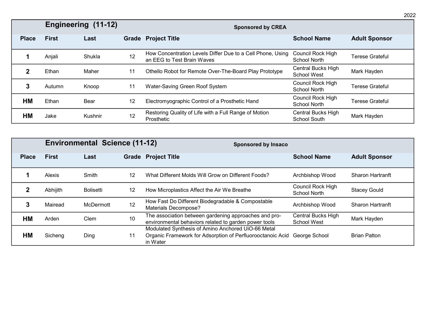|              | Engineering (11-12) |         |    | <b>Sponsored by CREA</b>                                                                 |                                                 |                        |  |  |
|--------------|---------------------|---------|----|------------------------------------------------------------------------------------------|-------------------------------------------------|------------------------|--|--|
| <b>Place</b> | <b>First</b>        | Last    |    | <b>Grade Project Title</b>                                                               | <b>School Name</b>                              | <b>Adult Sponsor</b>   |  |  |
|              | Anjali              | Shukla  | 12 | How Concentration Levels Differ Due to a Cell Phone, Using<br>an EEG to Test Brain Waves | <b>Council Rock High</b><br><b>School North</b> | Terese Grateful        |  |  |
|              | Ethan               | Maher   | 11 | Othello Robot for Remote Over-The-Board Play Prototype                                   | Central Bucks High<br><b>School West</b>        | Mark Hayden            |  |  |
|              | Autumn              | Knoop   | 11 | Water-Saving Green Roof System                                                           | Council Rock High<br><b>School North</b>        | <b>Terese Grateful</b> |  |  |
| <b>HM</b>    | Ethan               | Bear    | 12 | Electromyographic Control of a Prosthetic Hand                                           | Council Rock High<br>School North               | <b>Terese Grateful</b> |  |  |
| <b>HM</b>    | Jake                | Kushnir | 12 | Restoring Quality of Life with a Full Range of Motion<br>Prosthetic                      | Central Bucks High<br>School South              | Mark Hayden            |  |  |

|              |              | <b>Environmental Science (11-12)</b> |    | <b>Sponsored by Insaco</b>                                                                                                   |                                          |                         |  |
|--------------|--------------|--------------------------------------|----|------------------------------------------------------------------------------------------------------------------------------|------------------------------------------|-------------------------|--|
| <b>Place</b> | <b>First</b> | Last                                 |    | <b>Grade Project Title</b>                                                                                                   | <b>School Name</b>                       | <b>Adult Sponsor</b>    |  |
|              | Alexis       | Smith                                | 12 | What Different Molds Will Grow on Different Foods?                                                                           | Archbishop Wood                          | <b>Sharon Hartranft</b> |  |
|              | Abhijith     | <b>Bolisetti</b>                     | 12 | How Microplastics Affect the Air We Breathe                                                                                  | Council Rock High<br><b>School North</b> | <b>Stacey Gould</b>     |  |
|              | Mairead      | McDermott                            | 12 | How Fast Do Different Biodegradable & Compostable<br><b>Materials Decompose?</b>                                             | Archbishop Wood                          | <b>Sharon Hartranft</b> |  |
| <b>HM</b>    | Arden        | Clem                                 | 10 | The association between gardening approaches and pro-<br>environmental behaviors related to garden power tools               | Central Bucks High<br><b>School West</b> | Mark Hayden             |  |
| HМ           | Sicheng      | Ding                                 | 11 | Modulated Synthesis of Amino Anchored UiO-66 Metal<br>Organic Framework for Adsorption of Perfluorooctanoic Acid<br>in Water | George School                            | <b>Brian Patton</b>     |  |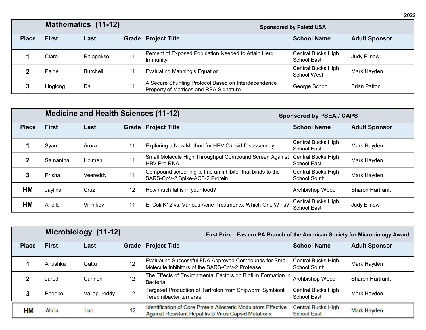|              |              | <b>Mathematics (11-12)</b> |    | <b>Sponsored by Paletti USA</b>                                                                |                                   |                      |  |
|--------------|--------------|----------------------------|----|------------------------------------------------------------------------------------------------|-----------------------------------|----------------------|--|
| <b>Place</b> | <b>First</b> | Last                       |    | <b>Grade Project Title</b>                                                                     | <b>School Name</b>                | <b>Adult Sponsor</b> |  |
|              | Clare        | Rajapakse                  | 11 | Percent of Exposed Population Needed to Attain Herd<br>Immunity                                | Central Bucks High<br>School East | Judy Elinow          |  |
|              | Paige        | Burchell                   | 11 | <b>Evaluating Manning's Equation</b>                                                           | Central Bucks High<br>School West | Mark Hayden          |  |
|              | Linglong     | Dai                        | 11 | A Secure Shuffling Protocol Based on Interdependence<br>Property of Matrices and RSA Signature | George School                     | <b>Brian Patton</b>  |  |

|              |              | <b>Medicine and Health Sciences (11-12)</b> |    | <b>Sponsored by PSEA / CAPS</b>                                                             |                                    |                         |
|--------------|--------------|---------------------------------------------|----|---------------------------------------------------------------------------------------------|------------------------------------|-------------------------|
| <b>Place</b> | <b>First</b> | Last                                        |    | <b>Grade Project Title</b>                                                                  | <b>School Name</b>                 | <b>Adult Sponsor</b>    |
|              | Syan         | Arora                                       | 11 | Exploring a New Method for HBV Capsid Disassembly                                           | Central Bucks High<br>School East  | Mark Hayden             |
|              | Samantha     | Holmen                                      | 11 | Small Molecule High Throughput Compound Screen Against<br><b>HBV Pre RNA</b>                | Central Bucks High<br>School East  | Mark Hayden             |
| 3            | Prisha       | Veereddy                                    | 11 | Compound screening to find an inhibitor that binds to the<br>SARS-CoV-2 Spike-ACE-2 Protein | Central Bucks High<br>School South | Mark Hayden             |
| НM           | Jayline      | Cruz                                        | 12 | How much fat is in your food?                                                               | Archbishop Wood                    | <b>Sharon Hartranft</b> |
| HM           | Arielle      | Vinnikov                                    | 11 | E. Coli K12 vs. Various Acne Treatments: Which One Wins?                                    | Central Bucks High<br>School East  | Judy Elinow             |

|              | Microbiology (11-12) |              |    | First Prize: Eastern PA Branch of the American Society for Microbiology Award                                          |                                                 |                         |  |
|--------------|----------------------|--------------|----|------------------------------------------------------------------------------------------------------------------------|-------------------------------------------------|-------------------------|--|
| <b>Place</b> | <b>First</b>         | Last         |    | <b>Grade Project Title</b>                                                                                             | <b>School Name</b>                              | <b>Adult Sponsor</b>    |  |
|              | Anushka              | Gattu        | 12 | Evaluating Successful FDA Approved Compounds for Small<br>Molecule Inhibitors of the SARS-CoV-2 Protease               | Central Bucks High<br>School South              | Mark Hayden             |  |
|              | Jared                | Cannon       | 12 | The Effects of Environmental Factors on Biofilm Formation in<br><b>Bacteria</b>                                        | Archbishop Wood                                 | <b>Sharon Hartranft</b> |  |
|              | Phoebe               | Vallapureddy | 12 | Targeted Production of Tartrolon from Shipworm Symbiont<br>Teredinibacter turnerae                                     | Central Bucks High<br><b>School East</b>        | Mark Hayden             |  |
| HM           | Alicia               | Luo          | 12 | Identification of Core Protein Allosteric Modulators Effective<br>Against Resistant Hepatitis B Virus Capsid Mutations | <b>Central Bucks High</b><br><b>School East</b> | <b>Mark Hayden</b>      |  |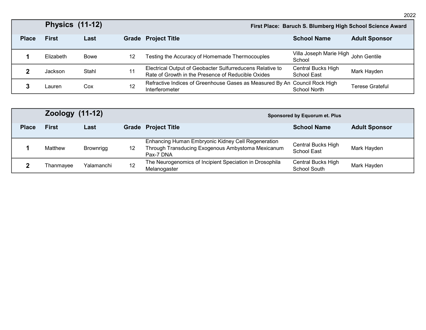|              | <b>Physics (11-12)</b> |       |    | First Place: Baruch S. Blumberg High School Science Award                                                       |                                   |                      |  |
|--------------|------------------------|-------|----|-----------------------------------------------------------------------------------------------------------------|-----------------------------------|----------------------|--|
| <b>Place</b> | <b>First</b>           | Last  |    | <b>Grade Project Title</b>                                                                                      | <b>School Name</b>                | <b>Adult Sponsor</b> |  |
|              | Elizabeth              | Bowe  | 12 | Testing the Accuracy of Homemade Thermocouples                                                                  | Villa Joseph Marie High<br>School | John Gentile         |  |
|              | Jackson                | Stahl | 11 | Electrical Output of Geobacter Sulfurreducens Relative to<br>Rate of Growth in the Presence of Reducible Oxides | Central Bucks High<br>School East | Mark Hayden          |  |
|              | ∟auren                 | Cox   | 12 | Refractive Indices of Greenhouse Gases as Measured By An Council Rock High<br>Interferometer                    | School North                      | Terese Grateful      |  |

|              | <b>Zoology (11-12)</b> |                  |    | Sponsored by Equorum et. Plus                                                                                        |                                           |                      |  |
|--------------|------------------------|------------------|----|----------------------------------------------------------------------------------------------------------------------|-------------------------------------------|----------------------|--|
| <b>Place</b> | <b>First</b>           | Last             |    | <b>Grade Project Title</b>                                                                                           | <b>School Name</b>                        | <b>Adult Sponsor</b> |  |
|              | Matthew                | <b>Brownrigg</b> | 12 | Enhancing Human Embryonic Kidney Cell Regeneration<br>Through Transducing Exogenous Ambystoma Mexicanum<br>Pax-7 DNA | Central Bucks High<br>School East         | Mark Hayden          |  |
|              | Thanmayee              | Yalamanchi       | 12 | The Neurogenomics of Incipient Speciation in Drosophila<br>Melanogaster                                              | Central Bucks High<br><b>School South</b> | Mark Hayden          |  |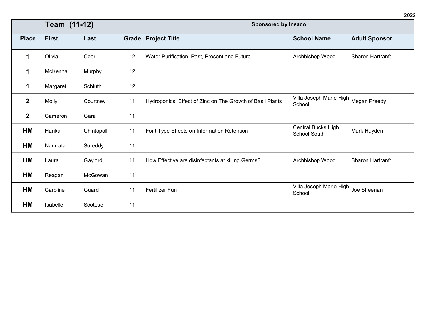|              | Team (11-12) |             |    | <b>Sponsored by Insaco</b>                                |                                                |                      |
|--------------|--------------|-------------|----|-----------------------------------------------------------|------------------------------------------------|----------------------|
| <b>Place</b> | <b>First</b> | Last        |    | <b>Grade Project Title</b>                                | <b>School Name</b>                             | <b>Adult Sponsor</b> |
| 1            | Olivia       | Coer        | 12 | Water Purification: Past, Present and Future              | Archbishop Wood                                | Sharon Hartranft     |
| 1            | McKenna      | Murphy      | 12 |                                                           |                                                |                      |
| 1            | Margaret     | Schluth     | 12 |                                                           |                                                |                      |
| $\mathbf 2$  | Molly        | Courtney    | 11 | Hydroponics: Effect of Zinc on The Growth of Basil Plants | Villa Joseph Marie High Megan Preedy<br>School |                      |
| $\mathbf{2}$ | Cameron      | Gara        | 11 |                                                           |                                                |                      |
| HМ           | Harika       | Chintapalli | 11 | Font Type Effects on Information Retention                | Central Bucks High<br>School South             | Mark Hayden          |
| HМ           | Namrata      | Sureddy     | 11 |                                                           |                                                |                      |
| HM           | Laura        | Gaylord     | 11 | How Effective are disinfectants at killing Germs?         | Archbishop Wood                                | Sharon Hartranft     |
| HМ           | Reagan       | McGowan     | 11 |                                                           |                                                |                      |
| НM           | Caroline     | Guard       | 11 | Fertilizer Fun                                            | Villa Joseph Marie High<br>School              | Joe Sheenan          |
| HМ           | Isabelle     | Scotese     | 11 |                                                           |                                                |                      |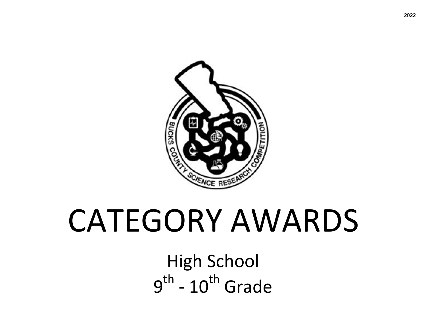

# CATEGORY AWARDS

High School  $9<sup>th</sup>$  -  $10<sup>th</sup>$  Grade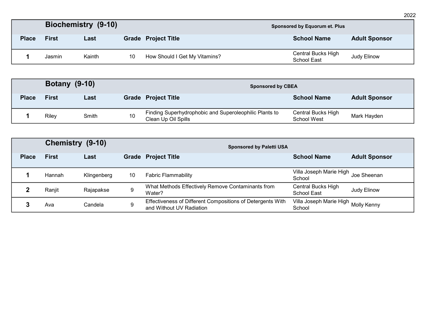|              |              | Biochemistry (9-10) | Sponsored by Equorum et. Plus |                               |                                   |                      |
|--------------|--------------|---------------------|-------------------------------|-------------------------------|-----------------------------------|----------------------|
| <b>Place</b> | <b>First</b> | Last                |                               | <b>Grade Project Title</b>    | <b>School Name</b>                | <b>Adult Sponsor</b> |
|              | Jasmin       | Kainth              | 10                            | How Should I Get My Vitamins? | Central Bucks High<br>School East | Judy Elinow          |

|              | <b>Botany (9-10)</b> |       |    | <b>Sponsored by CBEA</b>                                                      |                                   |                      |  |
|--------------|----------------------|-------|----|-------------------------------------------------------------------------------|-----------------------------------|----------------------|--|
| <b>Place</b> | <b>First</b>         | Last  |    | <b>Grade Project Title</b>                                                    | <b>School Name</b>                | <b>Adult Sponsor</b> |  |
|              | Riley                | Smith | 10 | Finding Superhydrophobic and Superoleophilic Plants to<br>Clean Up Oil Spills | Central Bucks High<br>School West | Mark Hayden          |  |

|              | Chemistry (9-10)<br><b>Sponsored by Paletti USA</b> |             |    |                                                                                        |                                               |                      |  |
|--------------|-----------------------------------------------------|-------------|----|----------------------------------------------------------------------------------------|-----------------------------------------------|----------------------|--|
| <b>Place</b> | <b>First</b>                                        | Last        |    | <b>Grade Project Title</b>                                                             | <b>School Name</b>                            | <b>Adult Sponsor</b> |  |
|              | Hannah                                              | Klingenberg | 10 | <b>Fabric Flammability</b>                                                             | Villa Joseph Marie High Joe Sheenan<br>School |                      |  |
|              | Ranjit                                              | Rajapakse   | 9  | What Methods Effectively Remove Contaminants from<br>Water?                            | Central Bucks High<br>School East             | Judy Elinow          |  |
|              | Ava                                                 | Candela     | 9  | Effectiveness of Different Compositions of Detergents With<br>and Without UV Radiation | Villa Joseph Marie High Molly Kenny<br>School |                      |  |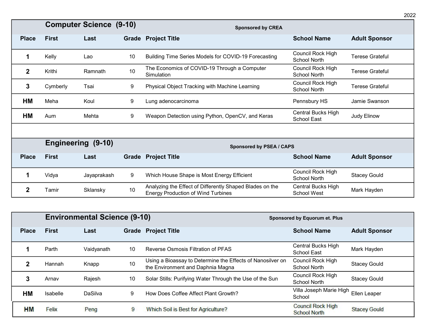|              | <b>Computer Science (9-10)</b> |             |    | <b>Sponsored by CREA</b>                                                                              |                                          |                        |
|--------------|--------------------------------|-------------|----|-------------------------------------------------------------------------------------------------------|------------------------------------------|------------------------|
| <b>Place</b> | <b>First</b>                   | Last        |    | <b>Grade Project Title</b>                                                                            | <b>School Name</b>                       | <b>Adult Sponsor</b>   |
| 1            | Kelly                          | Lao         | 10 | Building Time Series Models for COVID-19 Forecasting                                                  | Council Rock High<br><b>School North</b> | <b>Terese Grateful</b> |
| $\mathbf{2}$ | Krithi                         | Ramnath     | 10 | The Economics of COVID-19 Through a Computer<br>Simulation                                            | Council Rock High<br><b>School North</b> | <b>Terese Grateful</b> |
| 3            | Cymberly                       | Tsai        | 9  | Physical Object Tracking with Machine Learning                                                        | Council Rock High<br><b>School North</b> | <b>Terese Grateful</b> |
| HM           | Meha                           | Koul        | 9  | Lung adenocarcinoma                                                                                   | Pennsbury HS                             | Jamie Swanson          |
| HM           | Aum                            | Mehta       | 9  | Weapon Detection using Python, OpenCV, and Keras                                                      | Central Bucks High<br>School East        | Judy Elinow            |
|              |                                |             |    |                                                                                                       |                                          |                        |
|              | Engineering (9-10)             |             |    | <b>Sponsored by PSEA / CAPS</b>                                                                       |                                          |                        |
| <b>Place</b> | <b>First</b>                   | Last        |    | <b>Grade Project Title</b>                                                                            | <b>School Name</b>                       | <b>Adult Sponsor</b>   |
| 1            | Vidya                          | Jayaprakash | 9  | Which House Shape is Most Energy Efficient                                                            | Council Rock High<br><b>School North</b> | <b>Stacey Gould</b>    |
|              | Tamir                          | Sklansky    | 10 | Analyzing the Effect of Differently Shaped Blades on the<br><b>Energy Production of Wind Turbines</b> | Central Bucks High<br>School West        | Mark Hayden            |

|              |                 | <b>Environmental Science (9-10)</b> |    |                                                                                                 | Sponsored by Equorum et. Plus                   |                      |  |
|--------------|-----------------|-------------------------------------|----|-------------------------------------------------------------------------------------------------|-------------------------------------------------|----------------------|--|
| <b>Place</b> | <b>First</b>    | Last                                |    | <b>Grade Project Title</b>                                                                      | <b>School Name</b>                              | <b>Adult Sponsor</b> |  |
|              | Parth           | Vaidyanath                          | 10 | Reverse Osmosis Filtration of PFAS                                                              | Central Bucks High<br>School East               | Mark Hayden          |  |
|              | Hannah          | Knapp                               | 10 | Using a Bioassay to Determine the Effects of Nanosilver on<br>the Environment and Daphnia Magna | Council Rock High<br>School North               | <b>Stacey Gould</b>  |  |
|              | Arnav           | Rajesh                              | 10 | Solar Stills: Purifying Water Through the Use of the Sun                                        | <b>Council Rock High</b><br>School North        | <b>Stacey Gould</b>  |  |
| HМ           | <b>Isabelle</b> | <b>DaSilva</b>                      | 9  | How Does Coffee Affect Plant Growth?                                                            | Villa Joseph Marie High Ellen Leaper<br>School  |                      |  |
| <b>HM</b>    | Felix           | Peng                                | 9  | Which Soil is Best for Agriculture?                                                             | <b>Council Rock High</b><br><b>School North</b> | <b>Stacey Gould</b>  |  |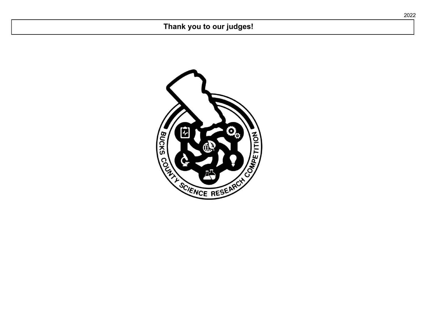#### **Thank you to our judges!**

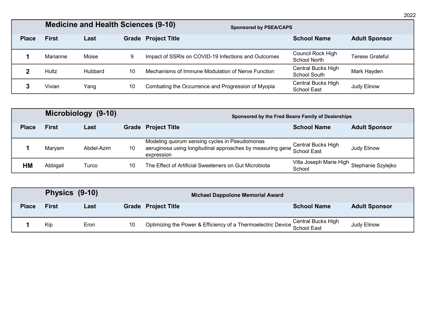|              | <b>Medicine and Health Sciences (9-10)</b> | <b>Sponsored by PSEA/CAPS</b> |    |                                                     |                                           |                        |
|--------------|--------------------------------------------|-------------------------------|----|-----------------------------------------------------|-------------------------------------------|------------------------|
| <b>Place</b> | <b>First</b>                               | Last                          |    | <b>Grade Project Title</b>                          | <b>School Name</b>                        | <b>Adult Sponsor</b>   |
|              | Marianne                                   | Moise                         | 9  | Impact of SSRIs on COVID-19 Infections and Outcomes | Council Rock High<br>School North         | <b>Terese Grateful</b> |
|              | Hultz                                      | <b>Hubbard</b>                | 10 | Mechanisms of Immune Modulation of Nerve Function   | Central Bucks High<br><b>School South</b> | Mark Hayden            |
|              | Vivian                                     | Yang                          | 10 | Combating the Occurrence and Progression of Myopia  | Central Bucks High<br>School East         | Judy Elinow            |

|              | Microbiology (9-10) |            |    | Sponsored by the Fred Beans Family of Dealerships                                                                         |                                                      |                      |  |
|--------------|---------------------|------------|----|---------------------------------------------------------------------------------------------------------------------------|------------------------------------------------------|----------------------|--|
| <b>Place</b> | <b>First</b>        | Last       |    | <b>Grade Project Title</b>                                                                                                | <b>School Name</b>                                   | <b>Adult Sponsor</b> |  |
|              | Marvam              | Abdel-Azim | 10 | Modeling quorum sensing cycles in Pseudomonas<br>aeruginosa using longitudinal approaches by measuring gene<br>expression | Central Bucks High<br>School East                    | Judy Elinow          |  |
| ΗM           | Abbigail            | Turco      | 10 | The Effect of Artificial Sweeteners on Gut Microbiota                                                                     | Villa Joseph Marie High Stephanie Szylejko<br>School |                      |  |

| Physics (9-10) |              |      |    | Michael Dappolone Memorial Award                                                |                    |                      |  |
|----------------|--------------|------|----|---------------------------------------------------------------------------------|--------------------|----------------------|--|
| <b>Place</b>   | <b>First</b> | Last |    | <b>Grade Project Title</b>                                                      | <b>School Name</b> | <b>Adult Sponsor</b> |  |
|                | Kip          | Eron | 10 | Optimizing the Power & Efficiency of a Thermoelectric Device Central Bucks High |                    | Judy Elinow          |  |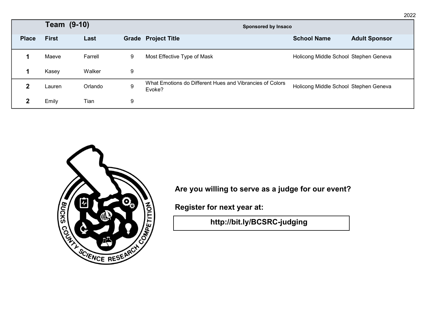|              | Team (9-10)  |         |   | <b>Sponsored by Insaco</b>                                         |                                       |                      |
|--------------|--------------|---------|---|--------------------------------------------------------------------|---------------------------------------|----------------------|
| <b>Place</b> | <b>First</b> | Last    |   | <b>Grade Project Title</b>                                         | <b>School Name</b>                    | <b>Adult Sponsor</b> |
|              | Maeve        | Farrell | 9 | Most Effective Type of Mask                                        | Holicong Middle School Stephen Geneva |                      |
|              | Kasey        | Walker  | 9 |                                                                    |                                       |                      |
|              | Lauren       | Orlando | 9 | What Emotions do Different Hues and Vibrancies of Colors<br>Evoke? | Holicong Middle School Stephen Geneva |                      |
| ?            | Emily        | Tian    | 9 |                                                                    |                                       |                      |



**Are you willing to serve as a judge for our event?**

**Register for next year at:**

**[http://bit.ly/BCSRC-judging](https://sites.google.com/site/bcsrchome/judging)**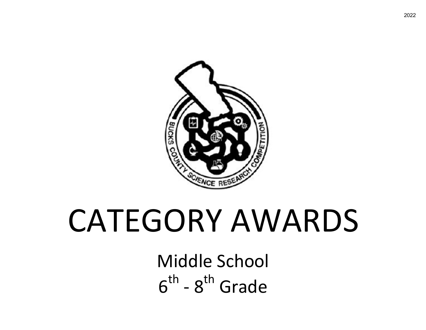

# CATEGORY AWARDS

Middle School  $6<sup>th</sup>$  -  $8<sup>th</sup>$  Grade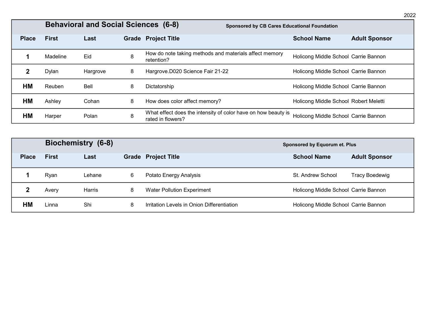|              |              | <b>Behavioral and Social Sciences (6-8)</b> |   | <b>Sponsored by CB Cares Educational Foundation</b>                                |                                       |                      |
|--------------|--------------|---------------------------------------------|---|------------------------------------------------------------------------------------|---------------------------------------|----------------------|
| <b>Place</b> | <b>First</b> | Last                                        |   | <b>Grade Project Title</b>                                                         | <b>School Name</b>                    | <b>Adult Sponsor</b> |
|              | Madeline     | Eid                                         | 8 | How do note taking methods and materials affect memory<br>retention?               | Holicong Middle School Carrie Bannon  |                      |
|              | Dylan        | Hargrove                                    | 8 | Hargrove.D020 Science Fair 21-22                                                   | Holicong Middle School Carrie Bannon  |                      |
| HМ           | Reuben       | Bell                                        | 8 | Dictatorship                                                                       | Holicong Middle School Carrie Bannon  |                      |
| НM           | Ashley       | Cohan                                       | 8 | How does color affect memory?                                                      | Holicong Middle School Robert Meletti |                      |
| HМ           | Harper       | Polan                                       | 8 | What effect does the intensity of color have on how beauty is<br>rated in flowers? | Holicong Middle School Carrie Bannon  |                      |

|              |              | Biochemistry (6-8) | Sponsored by Equorum et. Plus |                                            |                                      |                       |
|--------------|--------------|--------------------|-------------------------------|--------------------------------------------|--------------------------------------|-----------------------|
| <b>Place</b> | <b>First</b> | Last               |                               | <b>Grade Project Title</b>                 | <b>School Name</b>                   | <b>Adult Sponsor</b>  |
|              | Ryan         | Lehane             | 6                             | Potato Energy Analysis                     | St. Andrew School                    | <b>Tracy Boedewig</b> |
|              | Avery        | Harris             | 8                             | <b>Water Pollution Experiment</b>          | Holicong Middle School Carrie Bannon |                       |
| HM           | Linna        | Shi                | 8                             | Irritation Levels in Onion Differentiation | Holicong Middle School Carrie Bannon |                       |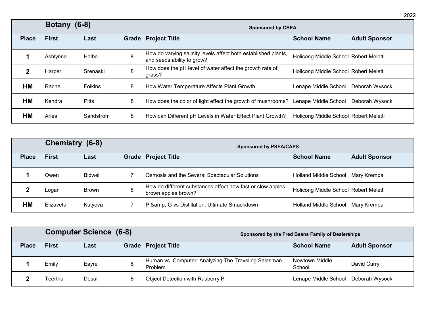|              | Botany (6-8) |              |   | <b>Sponsored by CBEA</b>                                                                     |                                       |                      |  |  |
|--------------|--------------|--------------|---|----------------------------------------------------------------------------------------------|---------------------------------------|----------------------|--|--|
| <b>Place</b> | <b>First</b> | Last         |   | <b>Grade Project Title</b>                                                                   | <b>School Name</b>                    | <b>Adult Sponsor</b> |  |  |
|              | Ashlynne     | Halbe        | 8 | How do varying salinity levels affect both established plants,<br>and seeds ability to grow? | Holicong Middle School Robert Meletti |                      |  |  |
|              | Harper       | Srenaski     | 8 | How does the pH level of water affect the growth rate of<br>grass?                           | Holicong Middle School Robert Meletti |                      |  |  |
| HМ           | Rachel       | Folkins      | 8 | How Water Temperature Affects Plant Growth                                                   | Lenape Middle School                  | Deborah Wysocki      |  |  |
| <b>HM</b>    | Kendra       | <b>Pitts</b> | 8 | How does the color of light effect the growth of mushrooms?                                  | Lenape Middle School                  | Deborah Wysocki      |  |  |
| <b>HM</b>    | Aries        | Sandstrom    | 8 | How can Different pH Levels in Water Effect Plant Growth?                                    | Holicong Middle School Robert Meletti |                      |  |  |

|              | Chemistry (6-8) |                | <b>Sponsored by PSEA/CAPS</b>                                                     |                                       |                      |  |
|--------------|-----------------|----------------|-----------------------------------------------------------------------------------|---------------------------------------|----------------------|--|
| <b>Place</b> | <b>First</b>    | Last           | <b>Grade Project Title</b>                                                        | <b>School Name</b>                    | <b>Adult Sponsor</b> |  |
|              | Owen            | <b>Bidwell</b> | Osmosis and the Several Spectacular Solutions                                     | Holland Middle School                 | Mary Krempa          |  |
|              | Logan           | <b>Brown</b>   | How do different substances affect how fast or slow apples<br>brown apples brown? | Holicong Middle School Robert Meletti |                      |  |
| НM           | Elizaveta       | Kutyeva        | P & G vs Distillation: Ultimate Smackdown                                         | Holland Middle School                 | Mary Krempa          |  |

|              |              | <b>Computer Science (6-8)</b> |   | Sponsored by the Fred Beans Family of Dealerships               |                          |                      |
|--------------|--------------|-------------------------------|---|-----------------------------------------------------------------|--------------------------|----------------------|
| <b>Place</b> | <b>First</b> | Last                          |   | <b>Grade Project Title</b>                                      | <b>School Name</b>       | <b>Adult Sponsor</b> |
|              | Emily        | Eavre                         |   | Human vs. Computer: Analyzing The Traveling Salesman<br>Problem | Newtown Middle<br>School | David Curry          |
|              | Teertha      | Desai                         | 8 | Object Detection with Rasberry Pi                               | Lenape Middle School     | Deborah Wysocki      |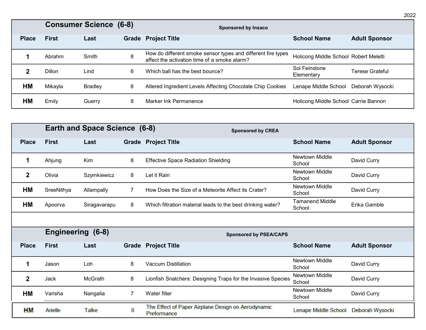|              |              | <b>Consumer Science (6-8)</b> |   | Sponsored by Insaco                                                                                          |                                       |                      |
|--------------|--------------|-------------------------------|---|--------------------------------------------------------------------------------------------------------------|---------------------------------------|----------------------|
| <b>Place</b> | <b>First</b> | Last                          |   | <b>Grade Project Title</b>                                                                                   | <b>School Name</b>                    | <b>Adult Sponsor</b> |
|              | Abrahm       | Smith                         | 8 | How do different smoke sensor types and different fire types<br>affect the activation time of a smoke alarm? | Holicong Middle School Robert Meletti |                      |
|              | Dillon       | Lind                          | 6 | Which ball has the best bounce?                                                                              | Sol Feinstone<br>Elementary           | Terese Grateful      |
| <b>HM</b>    | Mikayla      | <b>Bradley</b>                | 8 | Altered Ingredient Levels Affecting Chocolate Chip Cookies                                                   | Lenape Middle School                  | Deborah Wysocki      |
| НM           | Emily        | Guerry                        | 8 | Marker Ink Permanence                                                                                        | Holicong Middle School Carrie Bannon  |                      |

|              |                          | <b>Earth and Space Science (6-8)</b> |   | <b>Sponsored by CREA</b>                                          |                                  |                      |
|--------------|--------------------------|--------------------------------------|---|-------------------------------------------------------------------|----------------------------------|----------------------|
| <b>Place</b> | <b>First</b>             | Last                                 |   | <b>Grade Project Title</b>                                        | <b>School Name</b>               | <b>Adult Sponsor</b> |
| 1            | Ahjung                   | Kim                                  | 8 | <b>Effective Space Radiation Shielding</b>                        | <b>Newtown Middle</b><br>School  | David Curry          |
| $\mathbf{2}$ | Olivia                   | Szymkiewicz                          | 8 | Let it Rain                                                       | <b>Newtown Middle</b><br>School  | David Curry          |
| HM           | SreeNithya               | Allampally                           | 7 | How Does the Size of a Meteorite Affect its Crater?               | <b>Newtown Middle</b><br>School  | David Curry          |
| HМ           | Apoorva                  | Siragavarapu                         | 8 | Which filtration material leads to the best drinking water?       | <b>Tamanend Middle</b><br>School | Erika Gamble         |
|              |                          |                                      |   |                                                                   |                                  |                      |
|              | <b>Engineering (6-8)</b> |                                      |   | <b>Sponsored by PSEA/CAPS</b>                                     |                                  |                      |
| <b>Place</b> | <b>First</b>             | Last                                 |   | <b>Grade Project Title</b>                                        | <b>School Name</b>               | <b>Adult Sponsor</b> |
| 1            | Jason                    | Loh                                  | 8 | <b>Vaccum Distillation</b>                                        | Newtown Middle<br>School         | David Curry          |
| $\mathbf{2}$ | Jack                     | McGrath                              | 8 | Lionfish Snatchers: Designing Traps for the Invasive Species      | Newtown Middle<br>School         | David Curry          |
| <b>HM</b>    | Varisha                  | Nangalia                             | 7 | Water filter                                                      | <b>Newtown Middle</b><br>School  | David Curry          |
| <b>HM</b>    | Arielle                  | <b>Talke</b>                         | 8 | The Effect of Paper Airplane Design on Aerodynamic<br>Preformance | Lenape Middle School             | Deborah Wysocki      |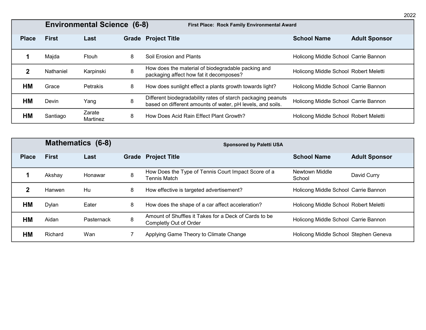|              | <b>Environmental Science (6-8)</b><br>First Place: Rock Family Environmental Award |                    |   |                                                                                                                            |                                       |                      |  |  |  |
|--------------|------------------------------------------------------------------------------------|--------------------|---|----------------------------------------------------------------------------------------------------------------------------|---------------------------------------|----------------------|--|--|--|
| <b>Place</b> | <b>First</b>                                                                       | Last               |   | <b>Grade Project Title</b>                                                                                                 | <b>School Name</b>                    | <b>Adult Sponsor</b> |  |  |  |
|              | Majda                                                                              | Ftouh              | 8 | Soil Erosion and Plants                                                                                                    | Holicong Middle School Carrie Bannon  |                      |  |  |  |
|              | Nathaniel                                                                          | Karpinski          | 8 | How does the material of biodegradable packing and<br>packaging affect how fat it decomposes?                              | Holicong Middle School Robert Meletti |                      |  |  |  |
| НM           | Grace                                                                              | Petrakis           | 8 | How does sunlight effect a plants growth towards light?                                                                    | Holicong Middle School Carrie Bannon  |                      |  |  |  |
| <b>HM</b>    | Devin                                                                              | Yang               | 8 | Different biodegradability rates of starch packaging peanuts<br>based on different amounts of water, pH levels, and soils. | Holicong Middle School Carrie Bannon  |                      |  |  |  |
| НM           | Santiago                                                                           | Zarate<br>Martinez | 8 | How Does Acid Rain Effect Plant Growth?                                                                                    | Holicong Middle School Robert Meletti |                      |  |  |  |

|              |               | <b>Mathematics (6-8)</b> |   | <b>Sponsored by Paletti USA</b>                                                        |                                       |                      |
|--------------|---------------|--------------------------|---|----------------------------------------------------------------------------------------|---------------------------------------|----------------------|
| <b>Place</b> | <b>First</b>  | Last                     |   | <b>Grade Project Title</b>                                                             | <b>School Name</b>                    | <b>Adult Sponsor</b> |
|              | Akshav        | Honawar                  | 8 | How Does the Type of Tennis Court Impact Score of a<br><b>Tennis Match</b>             | Newtown Middle<br>School              | David Curry          |
|              | <b>Hanwen</b> | Hu                       | 8 | How effective is targeted advertisement?                                               | Holicong Middle School Carrie Bannon  |                      |
| <b>HM</b>    | Dylan         | Eater                    | 8 | How does the shape of a car affect acceleration?                                       | Holicong Middle School Robert Meletti |                      |
| <b>HM</b>    | Aidan         | Pasternack               | 8 | Amount of Shuffles it Takes for a Deck of Cards to be<br><b>Completly Out of Order</b> | Holicong Middle School Carrie Bannon  |                      |
| HМ           | Richard       | Wan                      |   | Applying Game Theory to Climate Change                                                 | Holicong Middle School Stephen Geneva |                      |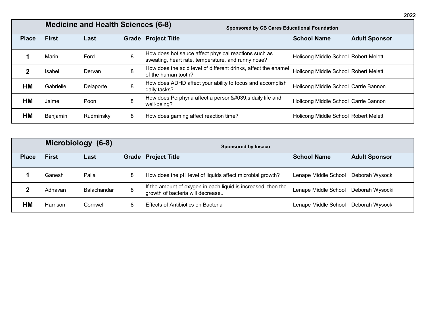|              | <b>Medicine and Health Sciences (6-8)</b><br><b>Sponsored by CB Cares Educational Foundation</b> |           |   |                                                                                                            |                                       |                      |  |  |  |
|--------------|--------------------------------------------------------------------------------------------------|-----------|---|------------------------------------------------------------------------------------------------------------|---------------------------------------|----------------------|--|--|--|
| <b>Place</b> | <b>First</b>                                                                                     | Last      |   | <b>Grade Project Title</b>                                                                                 | <b>School Name</b>                    | <b>Adult Sponsor</b> |  |  |  |
|              | Marin                                                                                            | Ford      | 8 | How does hot sauce affect physical reactions such as<br>sweating, heart rate, temperature, and runny nose? | Holicong Middle School Robert Meletti |                      |  |  |  |
|              | Isabel                                                                                           | Dervan    | 8 | How does the acid level of different drinks, affect the enamel<br>of the human tooth?                      | Holicong Middle School Robert Meletti |                      |  |  |  |
| HM           | Gabrielle                                                                                        | Delaporte | 8 | How does ADHD affect your ability to focus and accomplish<br>daily tasks?                                  | Holicong Middle School Carrie Bannon  |                      |  |  |  |
| HМ           | Jaime                                                                                            | Poon      | 8 | How does Porphyria affect a person's daily life and<br>well-being?                                         | Holicong Middle School Carrie Bannon  |                      |  |  |  |
| HМ           | Benjamin                                                                                         | Rudminsky | 8 | How does gaming affect reaction time?                                                                      | Holicong Middle School Robert Meletti |                      |  |  |  |

|              | Microbiology (6-8) |                    |   | Sponsored by Insaco                                                                               |                      |                      |
|--------------|--------------------|--------------------|---|---------------------------------------------------------------------------------------------------|----------------------|----------------------|
| <b>Place</b> | <b>First</b>       | Last               |   | <b>Grade Project Title</b>                                                                        | <b>School Name</b>   | <b>Adult Sponsor</b> |
|              | Ganesh             | Palla              | 8 | How does the pH level of liquids affect microbial growth?                                         | Lenape Middle School | Deborah Wysocki      |
|              | Adhavan            | <b>Balachandar</b> | 8 | If the amount of oxygen in each liquid is increased, then the<br>growth of bacteria will decrease | Lenape Middle School | Deborah Wysocki      |
| НM           | Harrison           | Cornwell           | 8 | Effects of Antibiotics on Bacteria                                                                | Lenape Middle School | Deborah Wysocki      |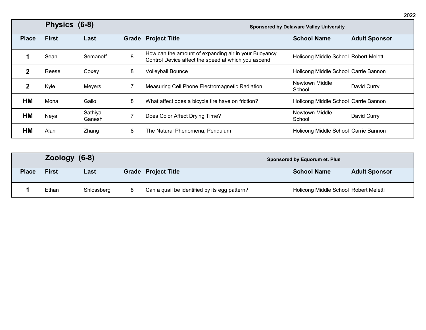|              | Physics (6-8) |                   |       | <b>Sponsored by Delaware Valley University</b>                                                              |                                       |                      |  |
|--------------|---------------|-------------------|-------|-------------------------------------------------------------------------------------------------------------|---------------------------------------|----------------------|--|
| <b>Place</b> | <b>First</b>  | Last              | Grade | <b>Project Title</b>                                                                                        | <b>School Name</b>                    | <b>Adult Sponsor</b> |  |
|              | Sean          | Semanoff          | 8     | How can the amount of expanding air in your Buoyancy<br>Control Device affect the speed at which you ascend | Holicong Middle School Robert Meletti |                      |  |
|              | Reese         | Coxey             | 8     | <b>Volleyball Bounce</b>                                                                                    | Holicong Middle School Carrie Bannon  |                      |  |
|              | Kyle          | Meyers            |       | Measuring Cell Phone Electromagnetic Radiation                                                              | Newtown Middle<br>School              | David Curry          |  |
| HМ           | Mona          | Gallo             | 8     | What affect does a bicycle tire have on friction?                                                           | Holicong Middle School Carrie Bannon  |                      |  |
| HМ           | Neya          | Sathiya<br>Ganesh | 7     | Does Color Affect Drying Time?                                                                              | Newtown Middle<br>School              | David Curry          |  |
| HМ           | Alan          | Zhang             | 8     | The Natural Phenomena, Pendulum                                                                             | Holicong Middle School Carrie Bannon  |                      |  |

|              | Zoology (6-8) |            |  |                                               |  | Sponsored by Equorum et. Plus         |                      |
|--------------|---------------|------------|--|-----------------------------------------------|--|---------------------------------------|----------------------|
| <b>Place</b> | <b>First</b>  | Last       |  | <b>Grade Project Title</b>                    |  | <b>School Name</b>                    | <b>Adult Sponsor</b> |
|              | Ethan         | Shlossberg |  | Can a quail be identified by its egg pattern? |  | Holicong Middle School Robert Meletti |                      |